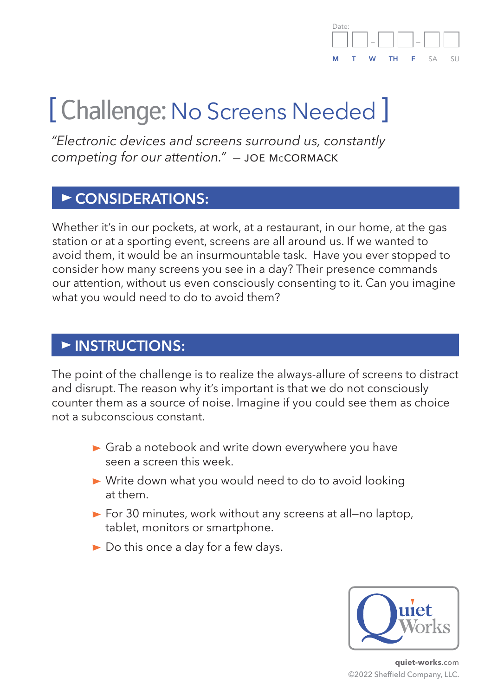

# [ Challenge: No Screens Needed ]

*"Electronic devices and screens surround us, constantly competing for our attention." —* joe mccormack

#### **CONSIDERATIONS:**

Whether it's in our pockets, at work, at a restaurant, in our home, at the gas station or at a sporting event, screens are all around us. If we wanted to avoid them, it would be an insurmountable task. Have you ever stopped to consider how many screens you see in a day? Their presence commands our attention, without us even consciously consenting to it. Can you imagine what you would need to do to avoid them?

#### **INSTRUCTIONS:**

The point of the challenge is to realize the always-allure of screens to distract and disrupt. The reason why it's important is that we do not consciously counter them as a source of noise. Imagine if you could see them as choice not a subconscious constant.

- Grab a notebook and write down everywhere you have seen a screen this week.
- ▶ Write down what you would need to do to avoid looking at them.
- ▶ For 30 minutes, work without any screens at all-no laptop, tablet, monitors or smartphone.
- Do this once a day for a few days.



**quiet-works**.com ©2022 Sheffield Company, LLC.